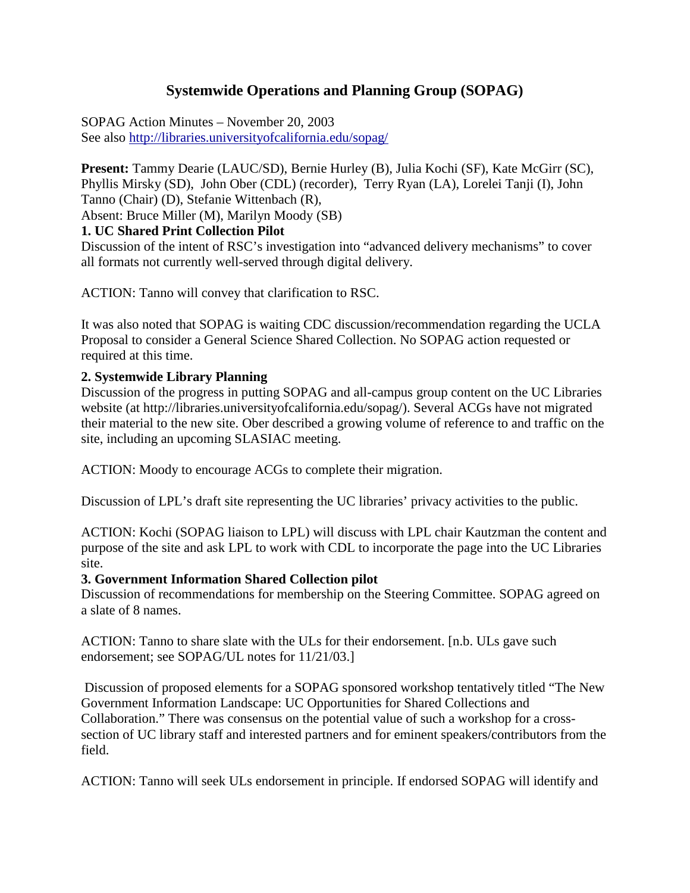# **Systemwide Operations and Planning Group (SOPAG)**

SOPAG Action Minutes – November 20, 2003 See also<http://libraries.universityofcalifornia.edu/sopag/>

**Present:** Tammy Dearie (LAUC/SD), Bernie Hurley (B), Julia Kochi (SF), Kate McGirr (SC), Phyllis Mirsky (SD), John Ober (CDL) (recorder), Terry Ryan (LA), Lorelei Tanji (I), John Tanno (Chair) (D), Stefanie Wittenbach (R), Absent: Bruce Miller (M), Marilyn Moody (SB)

#### **1. UC Shared Print Collection Pilot**

Discussion of the intent of RSC's investigation into "advanced delivery mechanisms" to cover all formats not currently well-served through digital delivery.

ACTION: Tanno will convey that clarification to RSC.

It was also noted that SOPAG is waiting CDC discussion/recommendation regarding the UCLA Proposal to consider a General Science Shared Collection. No SOPAG action requested or required at this time.

#### **2. Systemwide Library Planning**

Discussion of the progress in putting SOPAG and all-campus group content on the UC Libraries website (at http://libraries.universityofcalifornia.edu/sopag/). Several ACGs have not migrated their material to the new site. Ober described a growing volume of reference to and traffic on the site, including an upcoming SLASIAC meeting.

ACTION: Moody to encourage ACGs to complete their migration.

Discussion of LPL's draft site representing the UC libraries' privacy activities to the public.

ACTION: Kochi (SOPAG liaison to LPL) will discuss with LPL chair Kautzman the content and purpose of the site and ask LPL to work with CDL to incorporate the page into the UC Libraries site.

#### **3. Government Information Shared Collection pilot**

Discussion of recommendations for membership on the Steering Committee. SOPAG agreed on a slate of 8 names.

ACTION: Tanno to share slate with the ULs for their endorsement. [n.b. ULs gave such endorsement; see SOPAG/UL notes for 11/21/03.]

Discussion of proposed elements for a SOPAG sponsored workshop tentatively titled "The New Government Information Landscape: UC Opportunities for Shared Collections and Collaboration." There was consensus on the potential value of such a workshop for a crosssection of UC library staff and interested partners and for eminent speakers/contributors from the field.

ACTION: Tanno will seek ULs endorsement in principle. If endorsed SOPAG will identify and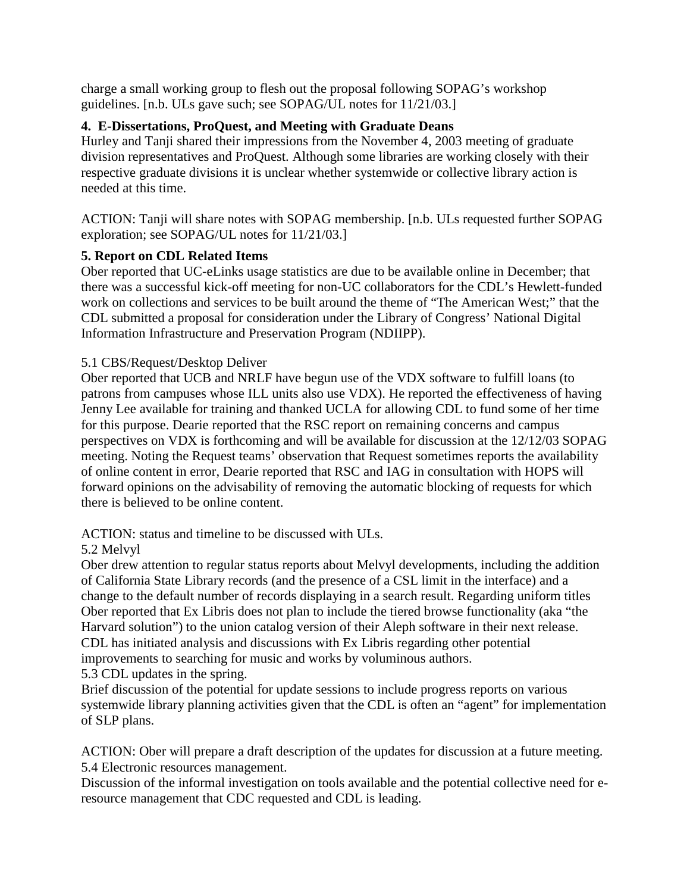charge a small working group to flesh out the proposal following SOPAG's workshop guidelines. [n.b. ULs gave such; see SOPAG/UL notes for 11/21/03.]

### **4. E-Dissertations, ProQuest, and Meeting with Graduate Deans**

Hurley and Tanji shared their impressions from the November 4, 2003 meeting of graduate division representatives and ProQuest. Although some libraries are working closely with their respective graduate divisions it is unclear whether systemwide or collective library action is needed at this time.

ACTION: Tanji will share notes with SOPAG membership. [n.b. ULs requested further SOPAG exploration; see SOPAG/UL notes for 11/21/03.]

### **5. Report on CDL Related Items**

Ober reported that UC-eLinks usage statistics are due to be available online in December; that there was a successful kick-off meeting for non-UC collaborators for the CDL's Hewlett-funded work on collections and services to be built around the theme of "The American West;" that the CDL submitted a proposal for consideration under the Library of Congress' National Digital Information Infrastructure and Preservation Program (NDIIPP).

### 5.1 CBS/Request/Desktop Deliver

Ober reported that UCB and NRLF have begun use of the VDX software to fulfill loans (to patrons from campuses whose ILL units also use VDX). He reported the effectiveness of having Jenny Lee available for training and thanked UCLA for allowing CDL to fund some of her time for this purpose. Dearie reported that the RSC report on remaining concerns and campus perspectives on VDX is forthcoming and will be available for discussion at the 12/12/03 SOPAG meeting. Noting the Request teams' observation that Request sometimes reports the availability of online content in error, Dearie reported that RSC and IAG in consultation with HOPS will forward opinions on the advisability of removing the automatic blocking of requests for which there is believed to be online content.

### ACTION: status and timeline to be discussed with ULs.

### 5.2 Melvyl

Ober drew attention to regular status reports about Melvyl developments, including the addition of California State Library records (and the presence of a CSL limit in the interface) and a change to the default number of records displaying in a search result. Regarding uniform titles Ober reported that Ex Libris does not plan to include the tiered browse functionality (aka "the Harvard solution") to the union catalog version of their Aleph software in their next release. CDL has initiated analysis and discussions with Ex Libris regarding other potential improvements to searching for music and works by voluminous authors.

5.3 CDL updates in the spring.

Brief discussion of the potential for update sessions to include progress reports on various systemwide library planning activities given that the CDL is often an "agent" for implementation of SLP plans.

ACTION: Ober will prepare a draft description of the updates for discussion at a future meeting. 5.4 Electronic resources management.

Discussion of the informal investigation on tools available and the potential collective need for eresource management that CDC requested and CDL is leading.